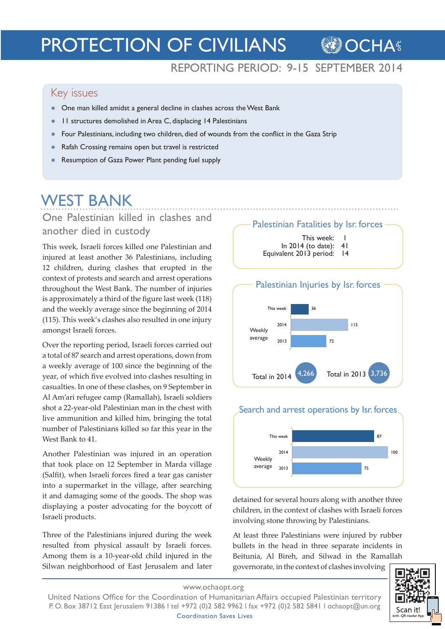# PROTECTION OF CIVILIANS

# REPORTING PERIOD: 9-15 SEPTEMBER 2014

**OCHAS** 

### Key issues

- One man killed amidst a general decline in clashes across the West Bank
- 11 structures demolished in Area C, displacing 14 Palestinians
- Four Palestinians, including two children, died of wounds from the conflict in the Gaza Strip
- Rafah Crossing remains open but travel is restricted
- Resumption of Gaza Power Plant pending fuel supply

# WEST BANK

One Palestinian killed in clashes and another died in custody

This week, Israeli forces killed one Palestinian and injured at least another 36 Palestinians, including 12 children, during clashes that erupted in the context of protests and search and arrest operations throughout the West Bank. The number of injuries is approximately a third of the figure last week (118) and the weekly average since the beginning of 2014 (115). This week's clashes also resulted in one injury amongst Israeli forces.

Over the reporting period, Israeli forces carried out a total of 87 search and arrest operations, down from a weekly average of 100 since the beginning of the year, of which five evolved into clashes resulting in casualties. In one of these clashes, on 9 September in Al Am'ari refugee camp (Ramallah), Israeli soldiers shot a 22-year-old Palestinian man in the chest with live ammunition and killed him, bringing the total number of Palestinians killed so far this year in the West Bank to 41.

Another Palestinian was injured in an operation that took place on 12 September in Marda village (Salfit), when Israeli forces fired a tear gas canister into a supermarket in the village, after searching it and damaging some of the goods. The shop was displaying a poster advocating for the boycott of Israeli products.

Three of the Palestinians injured during the week resulted from physical assault by Israeli forces. Among them is a 10-year-old child injured in the Silwan neighborhood of East Jerusalem and later

Palestinian Fatalities by Isr. forces

- This week: |
- In 2014 (to date): 41 Equivalent 2013 period: 14





#### Search and arrest operations by Isr. forces



detained for several hours along with another three children, in the context of clashes with Israeli forces involving stone throwing by Palestinians.

At least three Palestinians were injured by rubber bullets in the head in three separate incidents in Beitunia, Al Bireh, and Silwad in the Ramallah

governorate, in the context of clashes involving



www.ochaopt.org

United Nations Office for the Coordination of Humanitarian Affairs occupied Palestinian territory P. O. Box 38712 East Jerusalem 91386 l tel +972 (0)2 582 9962 l fax +972 (0)2 582 5841 l ochaopt@un.org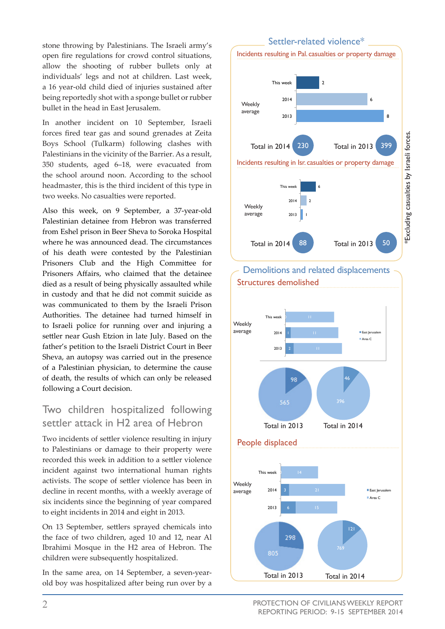stone throwing by Palestinians. The Israeli army's open fire regulations for crowd control situations, allow the shooting of rubber bullets only at individuals' legs and not at children. Last week, a 16 year-old child died of injuries sustained after being reportedly shot with a sponge bullet or rubber bullet in the head in East Jerusalem.

In another incident on 10 September, Israeli forces fired tear gas and sound grenades at Zeita Boys School (Tulkarm) following clashes with Palestinians in the vicinity of the Barrier. As a result, 350 students, aged 6–18, were evacuated from the school around noon. According to the school headmaster, this is the third incident of this type in two weeks. No casualties were reported.

Also this week, on 9 September, a 37-year-old Palestinian detainee from Hebron was transferred from Eshel prison in Beer Sheva to Soroka Hospital where he was announced dead. The circumstances of his death were contested by the Palestinian Prisoners Club and the High Committee for Prisoners Affairs, who claimed that the detainee died as a result of being physically assaulted while in custody and that he did not commit suicide as was communicated to them by the Israeli Prison Authorities. The detainee had turned himself in to Israeli police for running over and injuring a settler near Gush Etzion in late July. Based on the father's petition to the Israeli District Court in Beer Sheva, an autopsy was carried out in the presence of a Palestinian physician, to determine the cause of death, the results of which can only be released following a Court decision.

# Two children hospitalized following settler attack in H2 area of Hebron

Two incidents of settler violence resulting in injury to Palestinians or damage to their property were recorded this week in addition to a settler violence incident against two international human rights activists. The scope of settler violence has been in decline in recent months, with a weekly average of six incidents since the beginning of year compared to eight incidents in 2014 and eight in 2013.

On 13 September, settlers sprayed chemicals into the face of two children, aged 10 and 12, near Al Ibrahimi Mosque in the H2 area of Hebron. The children were subsequently hospitalized.

In the same area, on 14 September, a seven-yearold boy was hospitalized after being run over by a







PROTECTION OF CIVILIANS WEEKLY REPORT REPORTING PERIOD: 9-15 SEPTEMBER 2014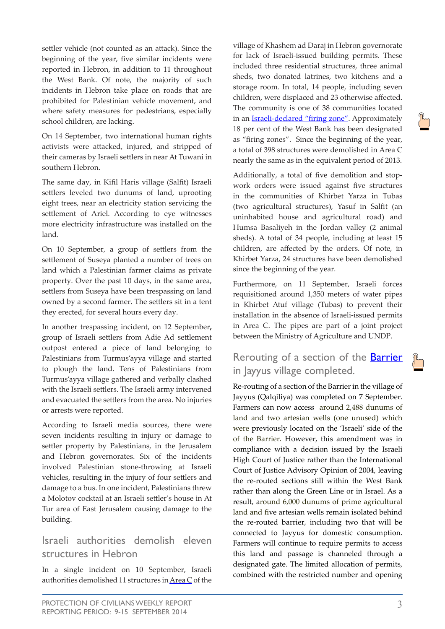settler vehicle (not counted as an attack). Since the beginning of the year, five similar incidents were reported in Hebron, in addition to 11 throughout the West Bank. Of note, the majority of such incidents in Hebron take place on roads that are prohibited for Palestinian vehicle movement, and where safety measures for pedestrians, especially school children, are lacking.

On 14 September, two international human rights activists were attacked, injured, and stripped of their cameras by Israeli settlers in near At Tuwani in southern Hebron.

The same day, in Kifil Haris village (Salfit) Israeli settlers leveled two dunums of land, uprooting eight trees, near an electricity station servicing the settlement of Ariel. According to eye witnesses more electricity infrastructure was installed on the land.

On 10 September, a group of settlers from the settlement of Suseya planted a number of trees on land which a Palestinian farmer claims as private property. Over the past 10 days, in the same area, settlers from Suseya have been trespassing on land owned by a second farmer. The settlers sit in a tent they erected, for several hours every day.

In another trespassing incident, on 12 September**,** group of Israeli settlers from Adie Ad settlement outpost entered a piece of land belonging to Palestinians from Turmus'ayya village and started to plough the land. Tens of Palestinians from Turmus'ayya village gathered and verbally clashed with the Israeli settlers. The Israeli army intervened and evacuated the settlers from the area. No injuries or arrests were reported.

According to Israeli media sources, there were seven incidents resulting in injury or damage to settler property by Palestinians, in the Jerusalem and Hebron governorates. Six of the incidents involved Palestinian stone-throwing at Israeli vehicles, resulting in the injury of four settlers and damage to a bus. In one incident, Palestinians threw a Molotov cocktail at an Israeli settler's house in At Tur area of East Jerusalem causing damage to the building.

#### Israeli authorities demolish eleven structures in Hebron

In a single incident on 10 September, Israeli authorities demolished 11 structures in Area C of the village of Khashem ad Daraj in Hebron governorate for lack of Israeli-issued building permits. These included three residential structures, three animal sheds, two donated latrines, two kitchens and a storage room. In total, 14 people, including seven children, were displaced and 23 otherwise affected. The community is one of 38 communities located in an **[Israeli-declared "firing](http://www.ochaopt.org/documents/ocha_opt_firing_zone_factsheet_august_2012_english.pdf) zone"**. Approximately 18 per cent of the West Bank has been designated as "firing zones". Since the beginning of the year, a total of 398 structures were demolished in Area C nearly the same as in the equivalent period of 2013.

Additionally, a total of five demolition and stopwork orders were issued against five structures in the communities of Khirbet Yarza in Tubas (two agricultural structures), Yasuf in Salfit (an uninhabited house and agricultural road) and Humsa Basaliyeh in the Jordan valley (2 animal sheds). A total of 34 people, including at least 15 children, are affected by the orders. Of note, in Khirbet Yarza, 24 structures have been demolished since the beginning of the year.

Furthermore, on 11 September, Israeli forces requisitioned around 1,350 meters of water pipes in Khirbet Atuf village (Tubas) to prevent their installation in the absence of Israeli-issued permits in Area C. The pipes are part of a joint project between the Ministry of Agriculture and UNDP.

# Rerouting of a section of the [Barrier](http://www.ochaopt.org/documents/ocha_opt_10_years_barrier_report_english.pdf) in Jayyus village completed.

Re-routing of a section of the Barrier in the village of Jayyus (Qalqiliya) was completed on 7 September. Farmers can now access around 2,488 dunums of land and two artesian wells (one unused) which were previously located on the 'Israeli' side of the of the Barrier. However, this amendment was in compliance with a decision issued by the Israeli High Court of Justice rather than the International Court of Justice Advisory Opinion of 2004, leaving the re-routed sections still within the West Bank rather than along the Green Line or in Israel. As a result, around 6,000 dunums of prime agricultural land and five artesian wells remain isolated behind the re-routed barrier, including two that will be connected to Jayyus for domestic consumption. Farmers will continue to require permits to access this land and passage is channeled through a designated gate. The limited allocation of permits, combined with the restricted number and opening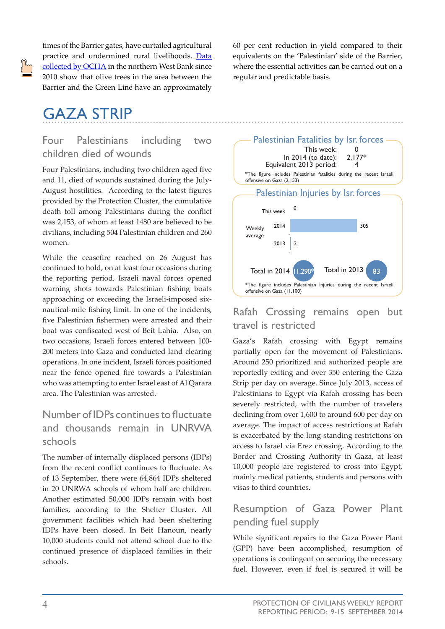times of the Barrier gates, have curtailed agricultural practice and undermined rural livelihoods. [Data](http://www.ochaopt.org/documents/ocha_opt_10_years_barrier_report_english.pdf) [collected by OCHA](http://www.ochaopt.org/documents/ocha_opt_10_years_barrier_report_english.pdf) in the northern West Bank since 2010 show that olive trees in the area between the Barrier and the Green Line have an approximately

# GAZA STRIP

#### Four Palestinians including two children died of wounds

Four Palestinians, including two children aged five and 11, died of wounds sustained during the July-August hostilities. According to the latest figures provided by the Protection Cluster, the cumulative death toll among Palestinians during the conflict was 2,153, of whom at least 1480 are believed to be civilians, including 504 Palestinian children and 260 women.

While the ceasefire reached on 26 August has continued to hold, on at least four occasions during the reporting period, Israeli naval forces opened warning shots towards Palestinian fishing boats approaching or exceeding the Israeli-imposed sixnautical-mile fishing limit. In one of the incidents, five Palestinian fishermen were arrested and their boat was confiscated west of Beit Lahia. Also, on two occasions, Israeli forces entered between 100- 200 meters into Gaza and conducted land clearing operations. In one incident, Israeli forces positioned near the fence opened fire towards a Palestinian who was attempting to enter Israel east of Al Qarara area. The Palestinian was arrested.

### Number of IDPs continues to fluctuate and thousands remain in UNRWA schools

The number of internally displaced persons (IDPs) from the recent conflict continues to fluctuate. As of 13 September, there were 64,864 IDPs sheltered in 20 UNRWA schools of whom half are children. Another estimated 50,000 IDPs remain with host families, according to the Shelter Cluster. All government facilities which had been sheltering IDPs have been closed. In Beit Hanoun, nearly 10,000 students could not attend school due to the continued presence of displaced families in their schools.

60 per cent reduction in yield compared to their equivalents on the 'Palestinian' side of the Barrier, where the essential activities can be carried out on a regular and predictable basis.



#### Rafah Crossing remains open but travel is restricted

Gaza's Rafah crossing with Egypt remains partially open for the movement of Palestinians. Around 250 prioritized and authorized people are reportedly exiting and over 350 entering the Gaza Strip per day on average. Since July 2013, access of Palestinians to Egypt via Rafah crossing has been severely restricted, with the number of travelers declining from over 1,600 to around 600 per day on average. The impact of access restrictions at Rafah is exacerbated by the long-standing restrictions on access to Israel via Erez crossing. According to the Border and Crossing Authority in Gaza, at least 10,000 people are registered to cross into Egypt, mainly medical patients, students and persons with visas to third countries.

# Resumption of Gaza Power Plant pending fuel supply

While significant repairs to the Gaza Power Plant (GPP) have been accomplished, resumption of operations is contingent on securing the necessary fuel. However, even if fuel is secured it will be